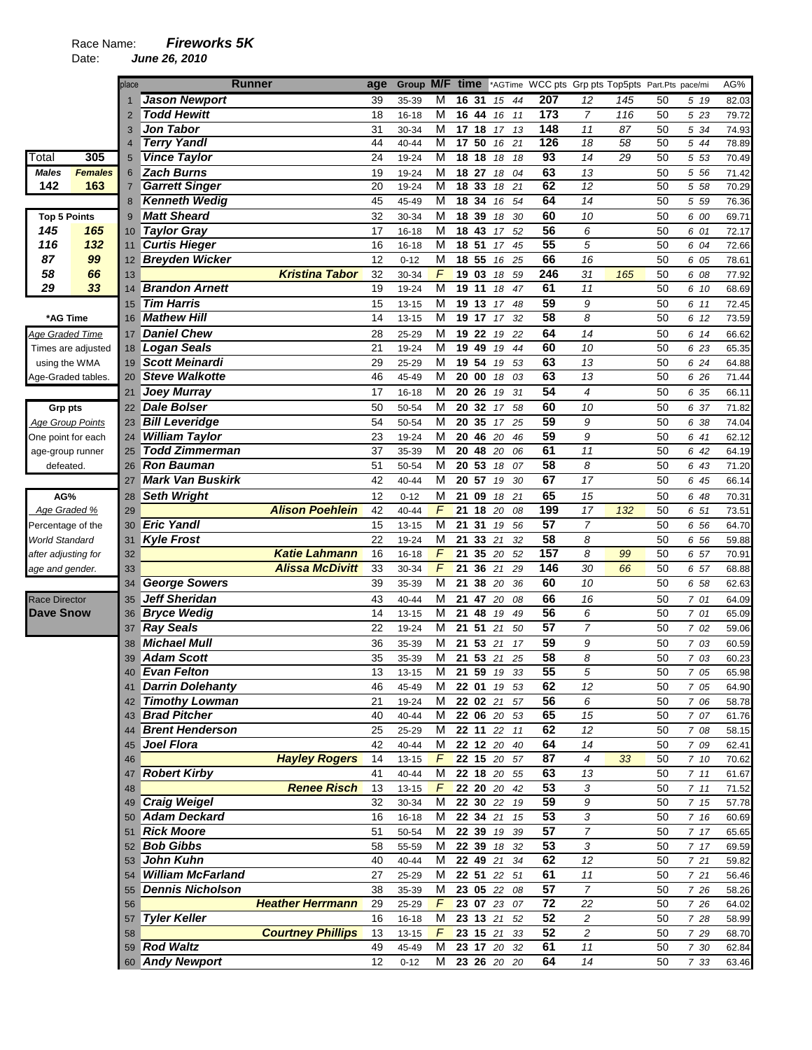## Race Name: *Fireworks 5K*

|                         |                    | place          | <b>Runner</b>                              |                          | age      | Group M/F time |               |                 |    |             |    |                 |                         | *AGTime WCC pts Grp pts Top5pts Part.Pts pace/mi |    |       | AG%   |
|-------------------------|--------------------|----------------|--------------------------------------------|--------------------------|----------|----------------|---------------|-----------------|----|-------------|----|-----------------|-------------------------|--------------------------------------------------|----|-------|-------|
|                         |                    |                | <b>Jason Newport</b>                       |                          | 39       | 35-39          | М             | 16              | 31 | 15          | 44 | 207             | 12                      | 145                                              | 50 | 5 19  | 82.03 |
|                         |                    | $\overline{2}$ | <b>Todd Hewitt</b>                         |                          | 18       | 16-18          | M             | 16 44           |    | 16          | 11 | 173             | $\overline{7}$          | 116                                              | 50 | 5 23  | 79.72 |
|                         |                    | 3              | Jon Tabor                                  |                          | 31       | 30-34          | М             | 17              | 18 | 17          | 13 | 148             | 11                      | 87                                               | 50 | 5 34  | 74.93 |
|                         |                    | $\overline{4}$ | <b>Terry Yandl</b>                         |                          | 44       | 40-44          | M             | 17 50           |    | 16          | 21 | 126             | 18                      | 58                                               | 50 | 5 44  | 78.89 |
| Total                   | 305                | 5              | <b>Vince Taylor</b>                        |                          | 24       | 19-24          | M             | 18              | 18 | 18          | 18 | $\overline{93}$ | $\overline{14}$         | 29                                               | 50 | 5 53  | 70.49 |
| Males                   | <b>Females</b>     | 6              | <b>Zach Burns</b>                          |                          | 19       | 19-24          | M             | 18 27           |    | 18          | 04 | 63              | 13                      |                                                  | 50 | 5 56  | 71.42 |
| 142                     | 163                | $\overline{7}$ | <b>Garrett Singer</b>                      |                          | 20       | 19-24          | M             | $\overline{18}$ | 33 | 18          | 21 | 62              | $\overline{12}$         |                                                  | 50 | 5 58  | 70.29 |
|                         |                    | 8              | <b>Kenneth Wedig</b>                       |                          | 45       | 45-49          | M             | 18 34           |    | 16          | 54 | 64              | $\overline{14}$         |                                                  | 50 | 5 5 9 | 76.36 |
| <b>Top 5 Points</b>     |                    | 9              | <b>Matt Sheard</b>                         |                          | 32       | 30-34          | M             | 18              | 39 | 18          | 30 | 60              | 10                      |                                                  | 50 | 6 00  | 69.71 |
| 145                     | 165                | 10             | Taylor Gray                                |                          | 17       | $16 - 18$      | М             | 18 43           |    | 17          | 52 | 56              | 6                       |                                                  | 50 | 6 01  | 72.17 |
| 116                     | 132                | 11             | <b>Curtis Hieger</b>                       |                          | 16       | 16-18          | M             | 18              | 51 | 17          | 45 | $\overline{55}$ | 5                       |                                                  | 50 | 6 04  | 72.66 |
| 87                      | 99                 | 12             | <b>Breyden Wicker</b>                      |                          | 12       | $0 - 12$       | M             | 18              | 55 | 16          | 25 | 66              | 16                      |                                                  | 50 | 6 05  | 78.61 |
| 58                      | 66                 | 13             |                                            | <b>Kristina Tabor</b>    | 32       | 30-34          | F             | 19 03           |    | 18          | 59 | 246             | 31                      | 165                                              | 50 | 6 08  | 77.92 |
| 29                      | 33                 | 14             | <b>Brandon Arnett</b>                      |                          | 19       | 19-24          | M             | 19 11           |    | 18          | 47 | 61              | 11                      |                                                  | 50 | 6 10  | 68.69 |
|                         |                    | 15             | <b>Tim Harris</b>                          |                          | 15       | 13-15          | M             | 19 13           |    | 17          | 48 | 59              | 9                       |                                                  | 50 | 6 11  | 72.45 |
| *AG Time                |                    | 16             | <b>Mathew Hill</b>                         |                          | 14       | 13-15          | М             | 19              | 17 | 17          | 32 | 58              | 8                       |                                                  | 50 | 6 12  | 73.59 |
| <b>Age Graded Time</b>  |                    | 17             | <b>Daniel Chew</b>                         |                          | 28       | 25-29          | M             | 19 22           |    | 19          | 22 | 64              | 14                      |                                                  | 50 | 6 14  | 66.62 |
|                         | Times are adjusted | 18             | Logan Seals                                |                          | 21       | 19-24          | M             | 19 49           |    | 19          | 44 | 60              | 10                      |                                                  | 50 | 6 23  | 65.35 |
| using the WMA           |                    | 19             | Scott Meinardi                             |                          | 29       | 25-29          | M             | 19 54           |    | 19          | 53 | 63              | 13                      |                                                  | 50 | 6 24  | 64.88 |
| Age-Graded tables.      |                    | 20             | <b>Steve Walkotte</b>                      |                          | 46       | 45-49          | M             | 20 00           |    | 18          | 03 | 63              | 13                      |                                                  | 50 | 6 26  | 71.44 |
|                         |                    | 21             | <b>Joey Murray</b>                         |                          | 17       | 16-18          | M             | 20 26           |    | 19          | 31 | 54              | 4                       |                                                  | 50 | 6 35  | 66.11 |
|                         |                    | 22             | Dale Bolser                                |                          | 50       | 50-54          | M             | 20              | 32 |             |    | 60              | 10                      |                                                  |    |       |       |
| <b>Grp pts</b>          |                    |                |                                            |                          |          |                |               |                 |    | 17          | 58 | 59              |                         |                                                  | 50 | 6 37  | 71.82 |
| <b>Age Group Points</b> |                    | 23             | <b>Bill Leveridge</b>                      |                          | 54       | 50-54          | M             | 20              | 35 | 17          | 25 | 59              | 9                       |                                                  | 50 | 6 38  | 74.04 |
| One point for each      |                    | 24             | <b>William Taylor</b>                      |                          | 23       | 19-24          | M             | 20              | 46 | 20          | 46 |                 | 9                       |                                                  | 50 | 6 41  | 62.12 |
| age-group runner        |                    | 25             | <b>Todd Zimmerman</b><br><b>Ron Bauman</b> |                          | 37<br>51 | 35-39          | M<br>M        | 20<br>20 53     | 48 | 20          | 06 | 61<br>58        | 11<br>8                 |                                                  | 50 | 6 42  | 64.19 |
| defeated.               |                    | 26             |                                            |                          |          | 50-54          |               |                 |    | 18          | 07 |                 |                         |                                                  | 50 | 6 43  | 71.20 |
|                         |                    | 27             | <b>Mark Van Buskirk</b>                    |                          | 42       | 40-44          | M             | 20              | 57 | 19          | 30 | 67              | 17                      |                                                  | 50 | 6 45  | 66.14 |
| AG%                     |                    | 28             | <b>Seth Wright</b>                         |                          | 12       | $0 - 12$       | M             | 21              | 09 | 18          | 21 | 65              | 15                      |                                                  | 50 | 6 48  | 70.31 |
| Age Graded %            |                    | 29             |                                            | <b>Alison Poehlein</b>   | 42       | 40-44          | F             | 21              | 18 | 20          | 08 | 199             | 17                      | 132                                              | 50 | 6 51  | 73.51 |
| Percentage of the       |                    | 30             | <b>Eric Yandl</b>                          |                          | 15       | 13-15          | M             | 21              | 31 | 19          | 56 | 57              | $\overline{7}$          |                                                  | 50 | 6 56  | 64.70 |
| World Standard          |                    | 31             | <b>Kyle Frost</b>                          |                          | 22       | 19-24          | M             | 21              | 33 | 21          | 32 | $\overline{58}$ | 8                       |                                                  | 50 | 6 56  | 59.88 |
| after adjusting for     |                    | 32             |                                            | <b>Katie Lahmann</b>     | 16       | $16 - 18$      | F             | 21              | 35 | 20          | 52 | 157             | 8                       | 99                                               | 50 | 6 57  | 70.91 |
| age and gender.         |                    | 33             |                                            | <b>Alissa McDivitt</b>   | 33       | 30-34          | F             | 21              | 36 | 21          | 29 | 146             | 30                      | 66                                               | 50 | 6 57  | 68.88 |
|                         |                    | 34             | <b>George Sowers</b>                       |                          | 39       | 35-39          | M             | 21              | 38 | 20          | 36 | 60              | 10                      |                                                  | 50 | 6 58  | 62.63 |
| <b>Race Director</b>    |                    | 35             | <b>Jeff Sheridan</b>                       |                          | 43       | 40-44          | M             | 21              | 47 | 20          | 08 | 66              | 16                      |                                                  | 50 | 7 01  | 64.09 |
| <b>Dave Snow</b>        |                    | 36             | <b>Bryce Wedig</b>                         |                          | 14       | $13 - 15$      | M             | 21              | 48 | 19          | 49 | 56              | 6                       |                                                  | 50 | 7 01  | 65.09 |
|                         |                    | 37             | <b>Ray Seals</b>                           |                          | 22       | 19-24          | M             | 21              | 51 | 21          | 50 | $\overline{57}$ | $\overline{7}$          |                                                  | 50 | 7 02  | 59.06 |
|                         |                    | 38             | <b>Michael Mull</b>                        |                          | 36       | 35-39          | M             | 21              | 53 | 21          | 17 | 59              | 9                       |                                                  | 50 | 7 03  | 60.59 |
|                         |                    | 39             | <b>Adam Scott</b>                          |                          | 35       | 35-39          | M             | 21              | 53 | 21          | 25 | $\overline{58}$ | 8                       |                                                  | 50 | 7 03  | 60.23 |
|                         |                    |                | 40 Evan Felton                             |                          | 13       | $13 - 15$      | M             |                 |    | 21 59 19 33 |    | 55              | 5                       |                                                  | 50 | 7 05  | 65.98 |
|                         |                    |                | 41 Darrin Dolehanty                        |                          | 46       | 45-49          | M             |                 |    | 22 01 19 53 |    | 62              | 12                      |                                                  | 50 | 7 05  | 64.90 |
|                         |                    | 42             | <b>Timothy Lowman</b>                      |                          | 21       | 19-24          | М             | 22 02 21        |    |             | 57 | 56              | 6                       |                                                  | 50 | 7 06  | 58.78 |
|                         |                    | 43             | <b>Brad Pitcher</b>                        |                          | 40       | 40-44          | M             |                 |    | 22 06 20 53 |    | 65              | 15                      |                                                  | 50 | 7 07  | 61.76 |
|                         |                    | 44             | <b>Brent Henderson</b>                     |                          | 25       | 25-29          | М             | 22 11 22        |    |             | 11 | 62              | 12                      |                                                  | 50 | 7 08  | 58.15 |
|                         |                    | 45             | Joel Flora                                 |                          | 42       | $40 - 44$      | М             | 22 12 20        |    |             | 40 | 64              | 14                      |                                                  | 50 | 7 09  | 62.41 |
|                         |                    | 46             |                                            | <b>Hayley Rogers</b>     | 14       | $13 - 15$      | $\mathcal{F}$ |                 |    | 22 15 20 57 |    | 87              | 4                       | 33                                               | 50 | 7 10  | 70.62 |
|                         |                    | 47             | <b>Robert Kirby</b>                        |                          | 41       | 40-44          | M             | 22 18 20        |    |             | 55 | 63              | 13                      |                                                  | 50 | 711   | 61.67 |
|                         |                    | 48             |                                            | <b>Renee Risch</b>       | 13       | $13 - 15$      | F             |                 |    | 22 20 20 42 |    | 53              | 3                       |                                                  | 50 | 711   | 71.52 |
|                         |                    | 49             | <b>Craig Weigel</b>                        |                          | 32       | 30-34          | M             |                 |    | 22 30 22 19 |    | 59              | 9                       |                                                  | 50 | 7 15  | 57.78 |
|                         |                    |                | 50 Adam Deckard                            |                          | 16       | 16-18          | M             | 22 34 21        |    |             | 15 | $\overline{53}$ | 3                       |                                                  | 50 | 7 16  | 60.69 |
|                         |                    | 51             | <b>Rick Moore</b>                          |                          | 51       | 50-54          | М             | 22 39 19        |    |             | 39 | 57              | $\overline{7}$          |                                                  | 50 | 7 17  | 65.65 |
|                         |                    |                | 52 Bob Gibbs                               |                          | 58       | 55-59          | M             | 22 39 18        |    |             | 32 | 53              | 3                       |                                                  | 50 | 7 17  | 69.59 |
|                         |                    | 53             | John Kuhn                                  |                          | 40       | 40-44          | M             | 22 49 21        |    |             | 34 | 62              | $12\,$                  |                                                  | 50 | 7 21  | 59.82 |
|                         |                    |                | <b>William McFarland</b>                   |                          | 27       | 25-29          | м             |                 |    | 22 51 22 51 |    | 61              | 11                      |                                                  | 50 | 721   | 56.46 |
|                         |                    | 55             | <b>Dennis Nicholson</b>                    |                          | 38       | 35-39          | M             | 23 05 22        |    |             | 08 | $\overline{57}$ | $\overline{7}$          |                                                  | 50 | 7 26  | 58.26 |
|                         |                    | 56             |                                            | <b>Heather Herrmann</b>  | 29       | 25-29          | F             | 23 07 23        |    |             | 07 | $\overline{72}$ | 22                      |                                                  | 50 | 7 26  | 64.02 |
|                         |                    | 57             | <b>Tyler Keller</b>                        |                          | 16       | $16 - 18$      | M             | 23 13 21        |    |             | 52 | 52              | $\sqrt{2}$              |                                                  | 50 | 7 28  | 58.99 |
|                         |                    | 58             |                                            | <b>Courtney Phillips</b> | 13       | $13 - 15$      | $\mathcal{F}$ | 23 15 21        |    |             | 33 | 52              | $\overline{\mathbf{c}}$ |                                                  | 50 | 7 29  | 68.70 |
|                         |                    | 59             | <b>Rod Waltz</b>                           |                          | 49       | 45-49          | м             |                 |    | 23 17 20 32 |    | 61              | 11                      |                                                  | 50 | 7 30  | 62.84 |
|                         |                    |                | 60 Andy Newport                            |                          | 12       | $0 - 12$       | M             |                 |    | 23 26 20 20 |    | 64              | $14$                    |                                                  | 50 | 7 33  | 63.46 |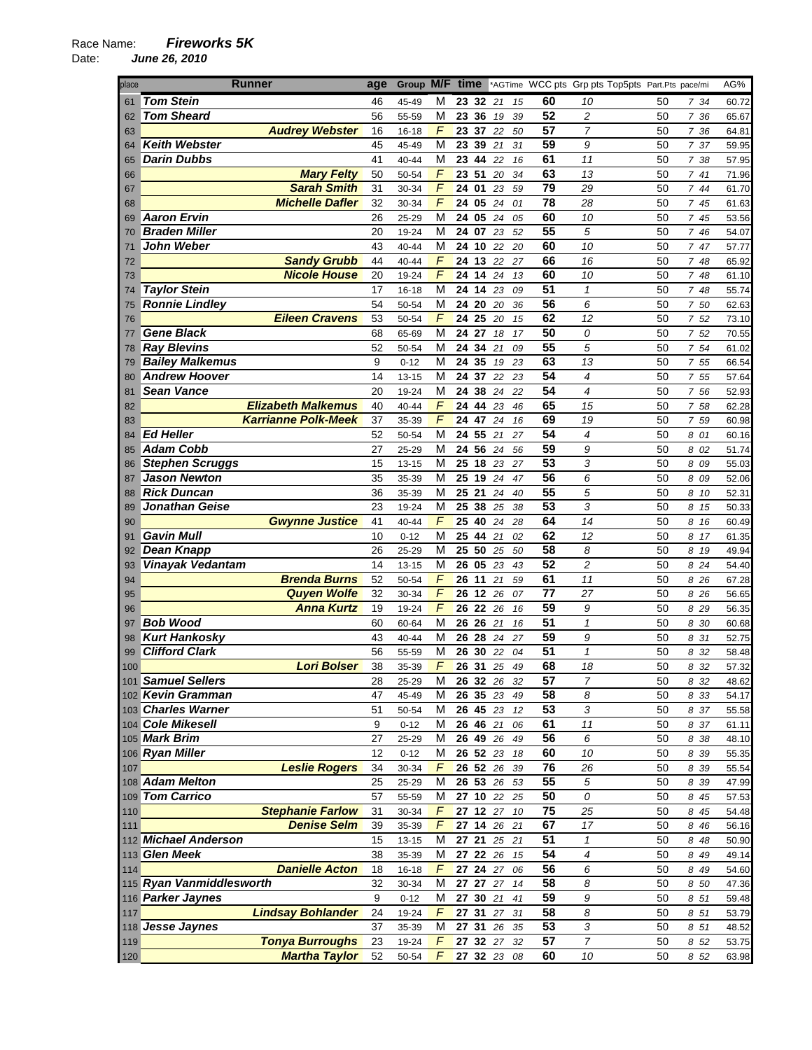| place      | <b>Runner</b>                           | age      | Group M/F          |        | time |            |                      |          |                 | *AGTime WCC pts Grp pts Top5pts Part.Pts pace/mi |          |               | AG%            |
|------------|-----------------------------------------|----------|--------------------|--------|------|------------|----------------------|----------|-----------------|--------------------------------------------------|----------|---------------|----------------|
| 61         | <b>Tom Stein</b>                        | 46       | 45-49              | М      |      | 23 32      | 21                   | 15       | 60              | 10                                               | 50       | 7 34          | 60.72          |
| 62         | <b>Tom Sheard</b>                       | 56       | 55-59              | м      |      | 23 36      | 19                   | 39       | 52              | 2                                                | 50       | 7 36          | 65.67          |
| 63         | <b>Audrey Webster</b>                   | 16       | 16-18              | F      |      | 23 37      | 22                   | 50       | $\overline{57}$ | $\overline{7}$                                   | 50       | 7 36          | 64.81          |
| 64         | <b>Keith Webster</b>                    | 45       | 45-49              | M      | 23   | 39         | 21                   | 31       | 59              | 9                                                | 50       | 7 37          | 59.95          |
| 65         | <b>Darin Dubbs</b>                      | 41       | 40-44              | М      |      | 23 44      | 22                   | 16       | 61              | 11                                               | 50       | 7 38          | 57.95          |
| 66         | <b>Mary Felty</b>                       | 50       | 50-54              | F      | 23   | 51         | 20                   | 34       | 63              | 13                                               | 50       | 741           | 71.96          |
| 67         | <b>Sarah Smith</b>                      | 31       | 30-34              | F      | 24   | 01         | 23                   | 59       | 79              | 29                                               | 50       | 7 44          | 61.70          |
| 68         | <b>Michelle Dafler</b>                  | 32       | 30-34              | F      | 24   | 05         | 24                   | 01       | $\overline{78}$ | 28                                               | 50       | 7 45          | 61.63          |
| 69         | <b>Aaron Ervin</b>                      | 26       | 25-29              | М      | 24   | 05         | 24                   | 05       | 60              | 10                                               | 50       | 7 45          | 53.56          |
| 70         | <b>Braden Miller</b>                    | 20       | 19-24              | М      |      | 24 07      | 23                   | 52       | $\overline{55}$ | 5                                                | 50       | 7 46          | 54.07          |
| 71         | John Weber                              | 43       | 40-44              | M      | 24   | 10         | 22                   | 20       | 60              | 10                                               | 50       | 7 47          | 57.77          |
| 72         | <b>Sandy Grubb</b>                      | 44       | 40-44              | F      |      | 24 13      | 22                   | 27       | 66              | 16                                               | 50       | 7 48          | 65.92          |
| 73         | <b>Nicole House</b>                     | 20       | 19-24              | F      | 24   | 14         | 24                   | 13       | 60              | 10                                               | 50       | 7 48          | 61.10          |
| 74         | <b>Taylor Stein</b>                     | 17       | 16-18              | M      |      | 24 14      | 23                   | 09       | $\overline{51}$ | $\mathbf{1}$                                     | 50       | 7 48          | 55.74          |
| 75         | <b>Ronnie Lindley</b>                   | 54       | 50-54              | M      | 24   | 20         | 20                   | 36       | $\overline{56}$ | 6                                                | 50       | 7 50          | 62.63          |
| 76         | <b>Eileen Cravens</b>                   | 53       | 50-54              | F      |      | 24 25      | 20                   | 15       | 62              | 12                                               | 50       | 7 52          | 73.10          |
| 77         | <b>Gene Black</b>                       | 68       | 65-69              | м      | 24   | 27         | 18                   | 17       | 50              | 0                                                | 50       | 7 52          | 70.55          |
| 78         | <b>Ray Blevins</b>                      | 52       | 50-54              | М      | 24   | 34         | 21                   | 09       | $\overline{55}$ | 5                                                | 50       | 7 54          | 61.02          |
| 79         | <b>Bailey Malkemus</b>                  | 9        | $0 - 12$           | М      | 24   | 35         | 19                   | 23       | 63              | 13                                               | 50       | 7 55          | 66.54          |
| 80         | <b>Andrew Hoover</b>                    | 14       | $13 - 15$          | М      | 24   | 37         | 22                   | 23       | $\overline{54}$ | $\overline{\mathcal{A}}$                         | 50       | 7 55          | 57.64          |
| 81         | <b>Sean Vance</b>                       | 20       | 19-24              | M      | 24   | 38         | 24                   | 22       | 54              | $\overline{\mathcal{A}}$                         | 50       | 7 56          | 52.93          |
| 82         | <b>Elizabeth Malkemus</b>               | 40       | 40-44              | F      | 24   | 44         | 23                   | 46       | 65              | 15                                               | 50       | 7 58          | 62.28          |
| 83         | <b>Karrianne Polk-Meek</b>              | 37       | 35-39              | F      |      | 24 47      | 24                   | 16       | 69              | 19                                               | 50       | 7 59          | 60.98          |
| 84         | <b>Ed Heller</b>                        | 52       | 50-54              | М      |      | 24 55      | 21                   | 27       | 54              | $\overline{4}$                                   | 50       | 8 01          | 60.16          |
| 85         | <b>Adam Cobb</b>                        | 27       | 25-29              | M      |      | 24 56      | 24                   | 56       | $\overline{59}$ | 9                                                | 50       | 8 02          | 51.74          |
| 86         | <b>Stephen Scruggs</b>                  | 15       | 13-15              | M      | 25   | 18         | 23                   | 27       | 53              | 3                                                | 50       | 8 09          | 55.03          |
| 87         | <b>Jason Newton</b>                     | 35       | 35-39              | М      | 25   | 19         | 24                   | 47       | 56              | 6                                                | 50       | 8 09          | 52.06          |
| 88         | <b>Rick Duncan</b>                      | 36       | 35-39              | М      | 25   | 21         | 24                   | 40       | $\overline{55}$ | 5                                                | 50       | 8<br>10       | 52.31          |
| 89         | Jonathan Geise                          | 23       | 19-24              | М      | 25   | 38         | 25                   | 38       | $\overline{53}$ | 3                                                | 50       | 8 15          | 50.33          |
| 90         | <b>Gwynne Justice</b>                   | 41       | 40-44              | F      |      | 25 40      | 24                   | 28       | 64              | 14                                               | 50       | 8 16          | 60.49          |
| 91         | <b>Gavin Mull</b>                       | 10       | $0 - 12$           | M      | 25   | 44         | 21                   | 02       | 62              | 12                                               | 50       | 8<br>17       | 61.35          |
| 92         | Dean Knapp                              | 26       | 25-29              | M      |      | 25 50      | 25                   | 50       | 58              | 8                                                | 50       | 8<br>19       | 49.94          |
| 93         | <b>Vinayak Vedantam</b>                 | 14       | 13-15              | M      |      | 26 05      | 23                   | 43       | 52              | $\overline{c}$                                   | 50       | 8 2 4         | 54.40          |
| 94         | <b>Brenda Burns</b>                     | 52       | 50-54              | F      |      | 26 11      | 21                   | 59       | 61              | 11                                               | 50       | 8 26          | 67.28          |
| 95         | <b>Quyen Wolfe</b>                      | 32       | 30-34              | F      |      | 26 12      | 26                   | 07       | 77              | 27                                               | 50       | 8 26          | 56.65          |
| 96         | <b>Anna Kurtz</b>                       | 19       | 19-24              | F      |      | 26 22      | 26                   | 16       | 59              | 9                                                | 50       | 8 29          | 56.35          |
| 97         | <b>Bob Wood</b>                         | 60       | 60-64              | M      |      | 26 26      | 21                   | 16       | 51              | $\mathbf{1}$                                     | 50       | 8 30          | 60.68          |
| 98         | <b>Kurt Hankosky</b>                    | 43       | 40-44              | М      |      | 26 28      | 24                   | 27       | 59              | 9                                                | 50       | 8 31          | 52.75          |
| 99         | <b>Clifford Clark</b>                   | 56       | 55-59              | M      |      | 26 30      | 22                   | 04       | 51              | $\mathcal I$                                     | 50       | 32<br>8       | 58.48          |
| 100        | <b>Lori Bolser</b>                      | 38       | 35-39              | F      |      | 26 31      | 25                   | 49       | 68              | 18                                               | 50       | 8<br>32       | 57.32          |
|            | 101 Samuel Sellers                      | 28       | 25-29              | М      |      |            | 26 32 26             | 32       | 57              | $\overline{7}$                                   | 50       | 8 32          | 48.62          |
|            | 102 Kevin Gramman                       | 47       | 45-49              | M      |      |            | $26\ 35\ 23$         | 49       | 58              | 8                                                | 50       | 8 3 3         | 54.17          |
|            | 103 Charles Warner                      | 51       | 50-54              | м      |      | 26 45 23   |                      | 12       | 53              | 3                                                | 50       | 8 37          | 55.58          |
|            | 104 Cole Mikesell                       | 9        | $0 - 12$           | M      |      | 26 46 21   |                      | 06       | 61              | $11$                                             | 50       | 8 37          | 61.11          |
|            | 105 Mark Brim                           | 27       | 25-29              | М      |      | 26 49      | 26                   | 49       | 56              | 6                                                | 50       | 8 38          | 48.10          |
|            | 106 Ryan Miller                         | 12       | $0 - 12$           | М<br>F |      | 26 52 23   |                      | 18       | 60<br>76        | 10                                               | 50       | 8 39          | 55.35          |
| 107        | <b>Leslie Rogers</b><br>108 Adam Melton | 34       | 30-34              |        |      |            | 26 52 26<br>26 53 26 | 39       | $\overline{55}$ | 26<br>5                                          | 50       | 8 39          | 55.54          |
|            | 109 Tom Carrico                         | 25<br>57 | 25-29              | M<br>М |      | 27 10 22   |                      | 53<br>25 | 50              | 0                                                | 50<br>50 | 8 39          | 47.99          |
|            | <b>Stephanie Farlow</b>                 | 31       | 55-59              | F      |      | 27 12 27   |                      | 10       | 75              | 25                                               |          | 8 45          | 57.53          |
| 110<br>111 | <b>Denise Selm</b>                      | 39       | 30-34<br>35-39     | F      |      | $27$ 14 26 |                      | 21       | 67              | 17                                               | 50<br>50 | 8 45<br>8 4 6 | 54.48<br>56.16 |
|            | 112 Michael Anderson                    | 15       | $13 - 15$          | М      |      | 27 21      | 25                   | 21       | 51              | 1                                                | 50       | 8 48          | 50.90          |
|            | 113 Glen Meek                           | 38       |                    | M      |      | 27 22 26   |                      | 15       | $\overline{54}$ | $\pmb{4}$                                        | 50       | 8 49          |                |
| 114        | <b>Danielle Acton</b>                   | 18       | 35-39<br>$16 - 18$ | F      |      | 27 24      | 27                   | 06       | $\overline{56}$ | 6                                                | 50       | 8 49          | 49.14<br>54.60 |
|            | 115 Ryan Vanmiddlesworth                | 32       | 30-34              | M      |      | 27 27 27   |                      | 14       | 58              | 8                                                | 50       | 8 50          | 47.36          |
|            | 116 Parker Jaynes                       | 9        | $0 - 12$           | М      |      | 27 30      | 21                   | 41       | 59              | 9                                                | 50       | 8 51          | 59.48          |
| 117        | <b>Lindsay Bohlander</b>                | 24       | 19-24              | F      |      | 27 31 27   |                      | 31       | 58              | 8                                                | 50       | 8 51          | 53.79          |
|            | 118 Jesse Jaynes                        | 37       | 35-39              | М      |      |            | 27 31 26             | 35       | 53              | 3                                                | 50       | 8 51          | 48.52          |
| 119        | <b>Tonya Burroughs</b>                  | 23       | 19-24              | F      |      | 27 32 27   |                      | 32       | 57              | $\overline{7}$                                   | 50       | 8 52          | 53.75          |
| 120        | <b>Martha Taylor</b>                    | 52       | 50-54              | F      |      |            | 27 32 23 08          |          | 60              | 10                                               | 50       | 8 52          | 63.98          |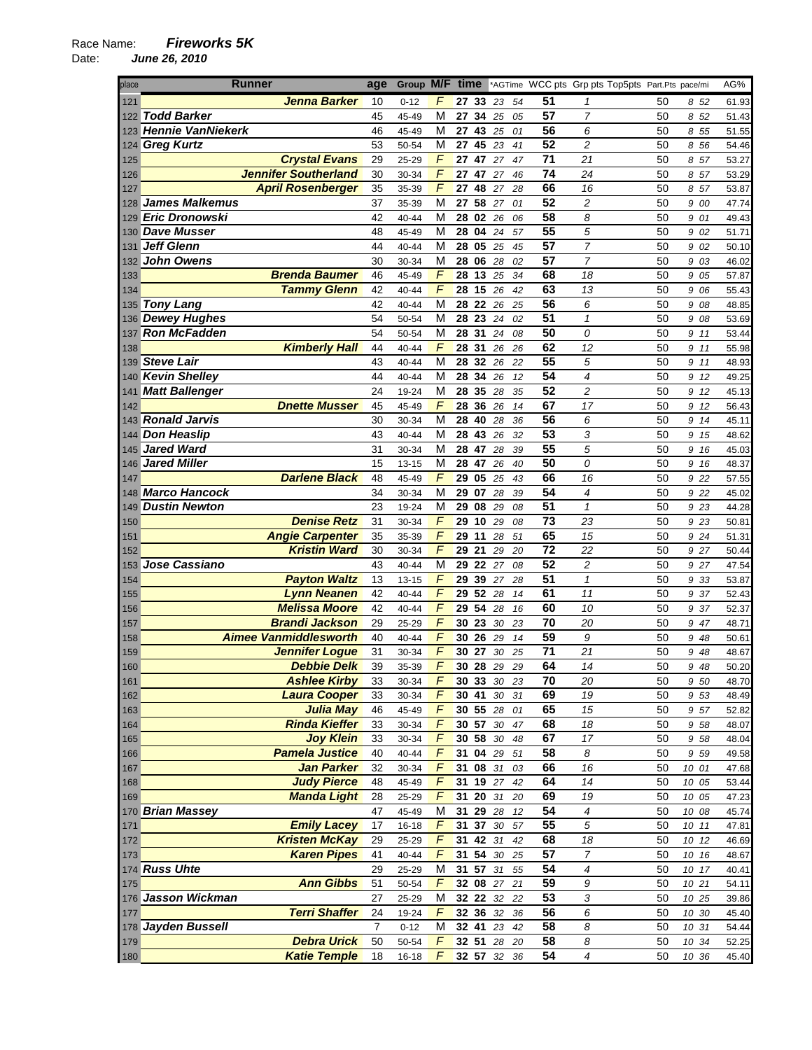| <b>Runner</b><br>place                               | age            | Group M/F time |                     |             |              |        |    |                 |                          | *AGTime WCC pts Grp pts Top5pts Part.Pts pace/mi |       |       | AG%   |
|------------------------------------------------------|----------------|----------------|---------------------|-------------|--------------|--------|----|-----------------|--------------------------|--------------------------------------------------|-------|-------|-------|
| Jenna Barker<br>121                                  | 10             | $0 - 12$       | F                   |             | 27 33 23     |        | 54 | 51              | 1                        | 50                                               |       | 852   | 61.93 |
| <b>Todd Barker</b><br>122                            | 45             | 45-49          | М                   |             | 27 34 25     |        | 05 | $\overline{57}$ | $\overline{7}$           | 50                                               |       | 8 52  | 51.43 |
| 123 Hennie VanNiekerk                                | 46             | 45-49          | М                   | 27 43       |              | 25     | 01 | 56              | 6                        | 50                                               |       | 8 55  | 51.55 |
| 124 Greg Kurtz                                       | 53             | 50-54          | M                   | 27 45       |              | 23     | 41 | 52              | $\overline{\mathbf{c}}$  | 50                                               |       | 8 56  | 54.46 |
| <b>Crystal Evans</b><br>125                          | 29             | 25-29          | F                   | 27 47       |              | 27     | 47 | 71              | 21                       | 50                                               |       | 8 57  | 53.27 |
| <b>Jennifer Southerland</b><br>126                   | 30             | 30-34          | F                   | 27 47       |              | 27     | 46 | 74              | 24                       | 50                                               |       | 8 57  | 53.29 |
| <b>April Rosenberger</b><br>127                      | 35             | 35-39          | F                   | 27 48       |              | 27     | 28 | 66              | 16                       | 50                                               |       | 8 57  | 53.87 |
| <b>James Malkemus</b><br>128                         | 37             | 35-39          | M                   | 27          | 58           | 27     | 01 | 52              | 2                        | 50                                               |       | 9 00  | 47.74 |
| 129 Eric Dronowski                                   | 42             | 40-44          | М                   |             | 28 02 26     |        | 06 | 58              | 8                        | 50                                               |       | 9 01  | 49.43 |
| <b>Dave Musser</b><br>130                            | 48             | 45-49          | M                   | 28 04       |              | 24     | 57 | $\overline{55}$ | 5                        | 50                                               | 9     | 02    | 51.71 |
| <b>Jeff Glenn</b><br>131                             | 44             | 40-44          | M                   | 28 05       |              | 25     | 45 | 57              | 7                        | 50                                               |       | 9 02  | 50.10 |
| <b>John Owens</b><br>132                             | 30             | 30-34          | М                   | 28 06       |              | 28     | 02 | 57              | 7                        | 50                                               |       | 9 03  | 46.02 |
| <b>Brenda Baumer</b><br>133                          | 46             | 45-49          | F                   | 28 13       |              | 25     | 34 | 68              | 18                       | 50                                               | 9     | 05    | 57.87 |
| <b>Tammy Glenn</b><br>134                            | 42             | 40-44          | F                   | 28          | 15           | 26     | 42 | 63              | 13                       | 50                                               |       | 9 06  | 55.43 |
| <b>Tony Lang</b><br>135                              | 42             | 40-44          | M                   | 28 22       |              | 26     | 25 | 56              | 6                        | 50                                               |       | 9 08  | 48.85 |
| <b>Dewey Hughes</b><br>136                           | 54             | 50-54          | М                   | 28 23       |              | 24     | 02 | 51              | $\mathbf{1}$             | 50                                               |       | 9 08  | 53.69 |
| <b>Ron McFadden</b><br>137                           | 54             | 50-54          | М                   | 28 31       |              | 24     | 08 | 50              | 0                        | 50                                               |       | 9 11  | 53.44 |
| <b>Kimberly Hall</b><br>138                          | 44             | 40-44          | F                   | 28 31       |              | 26     | 26 | 62              | 12                       | 50                                               |       | 9 11  | 55.98 |
| <b>Steve Lair</b><br>139                             | 43             | 40-44          | М                   | 28          | 32 26        |        | 22 | $\overline{55}$ | 5                        | 50                                               |       | 9 11  | 48.93 |
| 140 Kevin Shelley                                    | 44             | 40-44          | м                   | 28 34       |              | 26     | 12 | 54              | 4                        | 50                                               | 9     | 12    | 49.25 |
| <b>Matt Ballenger</b><br>141                         | 24             | 19-24          | M                   | 28 35       |              | 28     | 35 | 52              | $\overline{c}$           | 50                                               | 9     | 12    | 45.13 |
| <b>Dnette Musser</b><br>142                          | 45             | 45-49          | F                   | 28 36       |              | 26     | 14 | 67              | 17                       | 50                                               |       | 9 12  | 56.43 |
| 143 Ronald Jarvis                                    | 30             | 30-34          | М                   | 28 40       |              | 28     | 36 | 56              | 6                        | 50                                               |       | 9 14  | 45.11 |
| <b>Don Heaslip</b><br>144                            | 43             | 40-44          | M                   | 28 43       |              | 26     | 32 | $\overline{53}$ | 3                        | 50                                               | 9     | 15    | 48.62 |
| <b>Jared Ward</b><br>145                             | 31             | 30-34          | М                   | 28          | 47           | 28     | 39 | 55              | 5                        | 50                                               |       | 9 16  | 45.03 |
| <b>Jared Miller</b><br>146                           | 15             | 13-15          | М                   | 28 47       |              | 26     | 40 | 50              | 0                        | 50                                               | 9     | 16    | 48.37 |
| <b>Darlene Black</b><br>147                          | 48             | 45-49          | F                   | 29 05       |              | 25     | 43 | 66              | 16                       | 50                                               |       | 9 22  | 57.55 |
| <b>Marco Hancock</b>                                 | 34             |                | M                   | 29          | 07           |        |    | 54              | $\overline{\mathcal{A}}$ | 50                                               |       |       |       |
| 148                                                  |                | 30-34          | M                   |             |              | 28     | 39 | 51              |                          |                                                  |       | 9 22  | 45.02 |
| <b>Dustin Newton</b><br>149<br><b>Denise Retz</b>    | 23             | 19-24          | F                   | 29 08<br>29 |              | 29     | 08 | 73              | $\mathcal I$<br>23       | 50                                               |       | 9 23  | 44.28 |
| 150                                                  | 31             | 30-34          | $\overline{F}$      |             | 10           | 29     | 08 |                 |                          | 50                                               |       | 9 23  | 50.81 |
| <b>Angie Carpenter</b><br>151<br><b>Kristin Ward</b> | 35<br>30       | 35-39          | $\overline{F}$      | 29          | 11           | 28     | 51 | 65<br>72        | 15                       | 50                                               |       | 9 24  | 51.31 |
| 152                                                  |                | 30-34          |                     | 29 21       |              | 29     | 20 | 52              | 22                       | 50                                               |       | 9 27  | 50.44 |
| Jose Cassiano<br>153                                 | 43             | 40-44          | M<br>F              | 29 22       |              | 27     | 08 | 51              | 2                        | 50                                               |       | 9 27  | 47.54 |
| <b>Payton Waltz</b><br>154<br><b>Lynn Neanen</b>     | 13<br>42       | $13 - 15$      | $\overline{F}$      | 29 39       | 29 52 28     | 27     | 28 | 61              | 1<br>11                  | 50                                               |       | 9 33  | 53.87 |
| 155                                                  |                | 40-44          |                     |             |              |        | 14 |                 |                          | 50                                               |       | 9 37  | 52.43 |
| <b>Melissa Moore</b><br>156<br><b>Brandi Jackson</b> | 42             | 40-44          | F<br>$\sqrt{2}$     | 29 54       |              | 28     | 16 | 60<br>70        | 10                       | 50                                               |       | 9 37  | 52.37 |
| 157<br><b>Aimee Vanmiddlesworth</b>                  | 29             | 25-29          |                     | 30 23       |              | 30     | 23 |                 | 20                       | 50                                               |       | 9 47  | 48.71 |
| 158                                                  | 40             | 40-44          | F<br>F              | 30 26       |              | 29     | 14 | 59<br>71        | 9                        | 50                                               | 9     | 48    | 50.61 |
| <b>Jennifer Logue</b><br>159                         | 31             | 30-34          |                     | 30          | 27           | 30     | 25 | 64              | 21                       | 50                                               |       | 9 48  | 48.67 |
| Debbie Delk<br>160                                   | 39             | 35-39          | F                   | 30 28       |              | 29     | 29 |                 | 14                       | 50                                               |       | 9 48  | 50.20 |
| <b>Ashlee Kirby</b><br>161<br><b>Laura Cooper</b>    | 33             | 30-34<br>30-34 | F<br>$\overline{F}$ | 30 41       | 30 33 30 23  |        | 31 | 70<br>69        | 20<br>19                 | 50                                               |       | 9 50  | 48.70 |
| 162                                                  | 33             |                | $\overline{F}$      |             |              | $30\,$ |    | 65              |                          | 50                                               |       | 9 53  | 48.49 |
| Julia May<br>163                                     | 46             | 45-49          |                     |             | 30 55 28     |        | 01 |                 | $\overline{15}$          | 50                                               |       | 9 57  | 52.82 |
| <b>Rinda Kieffer</b><br>164                          | 33             | 30-34          | F                   | 30 57       |              | $30\,$ | 47 | 68              | 18                       | 50                                               |       | 9 58  | 48.07 |
| <b>Joy Klein</b><br>165                              | 33             | 30-34          | F                   |             | 30 58 30     |        | 48 | 67              | 17                       | 50                                               |       | 9 58  | 48.04 |
| <b>Pamela Justice</b><br>166                         | 40             | 40-44          | F                   |             | 31 04 29     |        | 51 | 58              | 8                        | 50                                               |       | 9 5 9 | 49.58 |
| <b>Jan Parker</b><br>167                             | 32             | 30-34          | F                   |             | 31 08 31     |        | 03 | 66              | 16                       | 50                                               | 10 01 |       | 47.68 |
| <b>Judy Pierce</b><br>168                            | 48             | 45-49          | F                   |             | 31 19 27     |        | 42 | 64              | 14                       | 50                                               | 10 05 |       | 53.44 |
| <b>Manda Light</b><br>169                            | 28             | 25-29          | $\sqrt{2}$          | 31 20       |              | 31     | 20 | 69              | 19                       | 50                                               | 10 05 |       | 47.23 |
| 170 Brian Massey                                     | 47             | 45-49          | M                   |             | 31 29 28     |        | 12 | 54              | 4                        | 50                                               | 10 08 |       | 45.74 |
| <b>Emily Lacey</b><br>171                            | 17             | $16 - 18$      | F                   |             | 31 37 30     |        | 57 | 55              | 5                        | 50                                               | 10 11 |       | 47.81 |
| <b>Kristen McKay</b><br>172                          | 29             | 25-29          | F                   |             | 31 42 31     |        | 42 | 68              | 18                       | 50                                               | 10 12 |       | 46.69 |
| <b>Karen Pipes</b><br>173                            | 41             | 40-44          | $\overline{F}$      |             | 31 54 30     |        | 25 | $\overline{57}$ | $\overline{7}$           | 50                                               | 10 16 |       | 48.67 |
| 174 Russ Uhte                                        | 29             | 25-29          | M                   |             | $31\ 57\ 31$ |        | 55 | 54              | 4                        | 50                                               | 10 17 |       | 40.41 |
| <b>Ann Gibbs</b><br>175                              | 51             | 50-54          | F                   |             | 32 08 27     |        | 21 | 59              | 9                        | 50                                               | 10 21 |       | 54.11 |
| 176 Jasson Wickman                                   | 27             | 25-29          | M                   |             | 32 22 32     |        | 22 | 53              | 3                        | 50                                               | 10 25 |       | 39.86 |
| <b>Terri Shaffer</b><br>177                          | 24             | 19-24          | F                   |             | 32 36 32     |        | 36 | $\overline{56}$ | 6                        | 50                                               | 10 30 |       | 45.40 |
| 178 Jayden Bussell                                   | $\overline{7}$ | $0 - 12$       | M                   |             | 32 41 23     |        | 42 | 58              | 8                        | 50                                               | 10 31 |       | 54.44 |
| <b>Debra Urick</b><br>179                            | 50             | 50-54          | $\sqrt{2}$          |             | 32 51 28 20  |        |    | 58              | 8                        | 50                                               | 10 34 |       | 52.25 |
| <b>Katie Temple</b><br>180                           | 18             | $16 - 18$      | $\overline{F}$      |             | 32 57 32     |        | 36 | 54              | $\overline{\mathcal{A}}$ | 50                                               | 10 36 |       | 45.40 |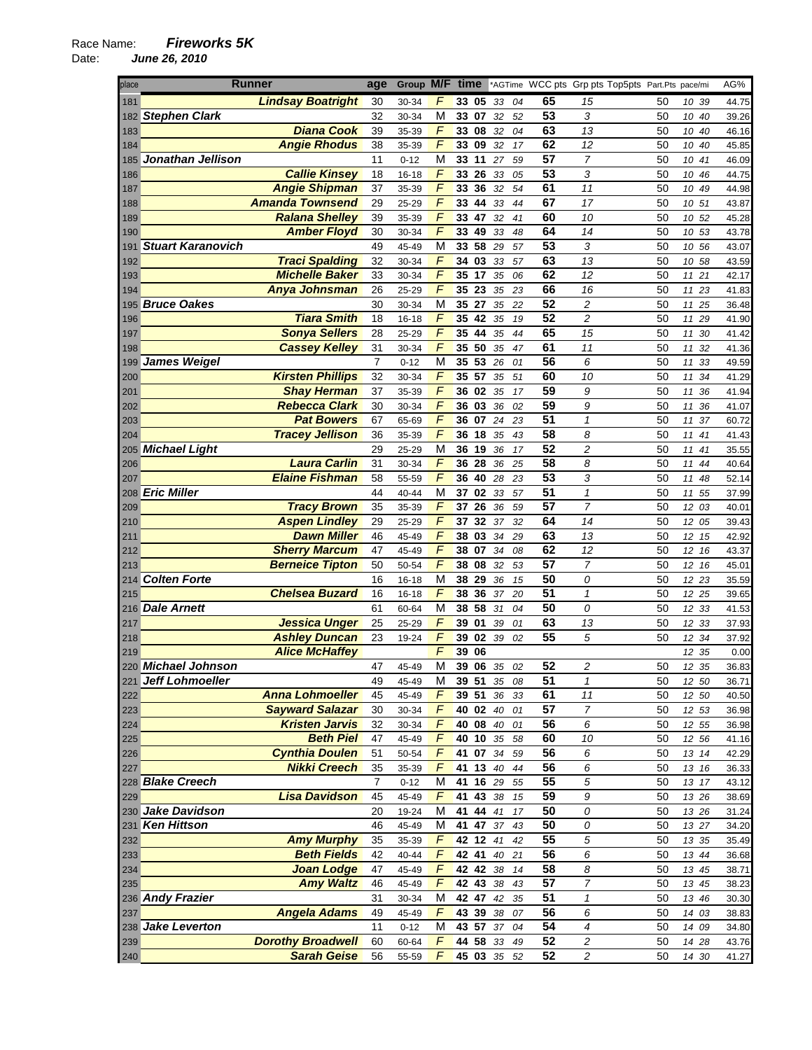| place | <b>Runner</b>            | age            | Group M/F time |                |          |       |            |     | *AGTime WCC pts Grp pts Top5pts Part.Pts pace/mi |                         |    |          | AG%   |
|-------|--------------------------|----------------|----------------|----------------|----------|-------|------------|-----|--------------------------------------------------|-------------------------|----|----------|-------|
| 181   | <b>Lindsay Boatright</b> | 30             | 30-34          | F              | 33 05    |       | 33         | 04  | 65                                               | 15                      | 50 | 10 39    | 44.75 |
|       | 182 Stephen Clark        | 32             | 30-34          | M              | 33 07    |       | 32         | 52  | 53                                               | 3                       | 50 | 10<br>40 | 39.26 |
| 183   | <b>Diana Cook</b>        | 39             | 35-39          | $\sqrt{2}$     | 33 08    |       | 32         | 04  | 63                                               | 13                      | 50 | 10<br>40 | 46.16 |
| 184   | <b>Angie Rhodus</b>      | 38             | 35-39          | F              | 33 09    |       | 32         | 17  | 62                                               | 12                      | 50 | 10<br>40 | 45.85 |
| 185   | Jonathan Jellison        | 11             | $0 - 12$       | М              | 33 11    |       | 27         | 59  | 57                                               | 7                       | 50 | 10 41    | 46.09 |
| 186   | <b>Callie Kinsey</b>     | 18             | 16-18          | F              | 33 26    |       | 33         | 05  | 53                                               | 3                       | 50 | 10<br>46 | 44.75 |
| 187   | <b>Angie Shipman</b>     | 37             | 35-39          | F              | 33       | 36    | 32         | 54  | 61                                               | 11                      | 50 | 10 49    | 44.98 |
| 188   | <b>Amanda Townsend</b>   | 29             | 25-29          | $\sqrt{2}$     | 33 44    |       | 33         | 44  | 67                                               | 17                      | 50 | 10 51    | 43.87 |
| 189   | <b>Ralana Shelley</b>    | 39             | 35-39          | $\sqrt{2}$     | 33 47    |       | 32         | 41  | 60                                               | 10                      | 50 | 10 52    | 45.28 |
| 190   | <b>Amber Floyd</b>       | 30             | 30-34          | F              | 33 49    |       | 33         | 48  | 64                                               | 14                      | 50 | 10 53    | 43.78 |
| 191   | <b>Stuart Karanovich</b> | 49             | 45-49          | М              | 33 58    |       | 29         | 57  | 53                                               | 3                       | 50 | 10 56    | 43.07 |
| 192   | <b>Traci Spalding</b>    | 32             | 30-34          | F              | 34 03    |       | 33         | 57  | 63                                               | 13                      | 50 | 10 58    | 43.59 |
| 193   | <b>Michelle Baker</b>    | 33             | 30-34          | $\overline{F}$ | 35       | 17    | 35         | 06  | 62                                               | 12                      | 50 | 11 21    | 42.17 |
| 194   | <b>Anya Johnsman</b>     | 26             | 25-29          | $\overline{F}$ | 35 23    |       | 35         | 23  | 66                                               | 16                      | 50 | 11 23    | 41.83 |
| 195   | <b>Bruce Oakes</b>       | 30             | 30-34          | M              | 35 27    |       | 35         | 22  | 52                                               | 2                       | 50 | 11<br>25 | 36.48 |
| 196   | <b>Tiara Smith</b>       | 18             | $16 - 18$      | F              | 35 42    |       | 35         | 19  | 52                                               | 2                       | 50 | 11<br>29 | 41.90 |
| 197   | <b>Sonya Sellers</b>     | 28             | 25-29          | F              | 35 44    |       | 35         | 44  | 65                                               | 15                      | 50 | 11<br>30 | 41.42 |
| 198   | <b>Cassey Kelley</b>     | 31             | 30-34          | F              | 35 50    |       | 35         | 47  | 61                                               | 11                      | 50 | 11<br>32 | 41.36 |
|       | 199 James Weigel         | $\overline{7}$ | $0 - 12$       | M              | 35 53    |       | 26         | 01  | 56                                               | 6                       | 50 | 11<br>33 | 49.59 |
| 200   | <b>Kirsten Phillips</b>  | 32             | 30-34          | $\sqrt{2}$     | 35 57    |       | 35         | 51  | 60                                               | 10                      | 50 | 11<br>34 | 41.29 |
| 201   | <b>Shay Herman</b>       | 37             | 35-39          | F              | 36 02    |       | 35         | 17  | 59                                               | 9                       | 50 | 11<br>36 | 41.94 |
| 202   | <b>Rebecca Clark</b>     | 30             | 30-34          | F              | 36 03    |       | 36         | 02  | 59                                               | 9                       | 50 | 36<br>11 | 41.07 |
| 203   | <b>Pat Bowers</b>        | 67             | 65-69          | F              | 36 07    |       | ${\bf 24}$ | 23  | $\overline{51}$                                  | $\mathbf{1}$            | 50 | 11<br>37 | 60.72 |
| 204   | <b>Tracey Jellison</b>   | 36             | 35-39          | $\overline{F}$ | 36       | 18    | 35         | 43  | $\overline{58}$                                  | 8                       | 50 | 11<br>41 | 41.43 |
|       | 205 Michael Light        | 29             | 25-29          | M              | 36 19    |       | 36         | 17  | 52                                               | $\overline{c}$          | 50 | 41<br>11 | 35.55 |
| 206   | <b>Laura Carlin</b>      | 31             | 30-34          | F              | 36 28    |       | 36         | 25  | 58                                               | 8                       | 50 | 11<br>44 | 40.64 |
| 207   | <b>Elaine Fishman</b>    | 58             | 55-59          | F              | 36       | 40    | 28         | 23  | 53                                               | 3                       | 50 | 11<br>48 | 52.14 |
|       | 208 Eric Miller          | 44             | 40-44          | M              | 37 02    |       | 33         | 57  | $\overline{51}$                                  | $\pmb{\mathcal{I}}$     | 50 | 55<br>11 | 37.99 |
| 209   | <b>Tracy Brown</b>       | 35             | 35-39          | F              | 37       | 26    | 36         | 59  | $\overline{57}$                                  | $\overline{7}$          | 50 | 12 03    | 40.01 |
| 210   | <b>Aspen Lindley</b>     | 29             | 25-29          | $\overline{F}$ | 37       | 32    | 37         | 32  | 64                                               | 14                      | 50 | 12 05    | 39.43 |
| 211   | <b>Dawn Miller</b>       | 46             | 45-49          | $\overline{F}$ | 38 03    |       | 34         | 29  | 63                                               | 13                      | 50 | 12 15    | 42.92 |
| 212   | <b>Sherry Marcum</b>     | 47             | 45-49          | F              | 38 07    |       | 34         | 08  | 62                                               | 12                      | 50 | 12<br>16 | 43.37 |
| 213   | <b>Berneice Tipton</b>   | 50             | 50-54          | F              | 38 08    |       | 32         | 53  | 57                                               | 7                       | 50 | 12 16    | 45.01 |
|       | 214 Colten Forte         | 16             | 16-18          | M              | 38 29    |       | 36         | 15  | 50                                               | 0                       | 50 | 12 23    | 35.59 |
| 215   | <b>Chelsea Buzard</b>    | 16             | 16-18          | F              | 38 36    |       | 37         | 20  | 51                                               | $\mathbf{1}$            | 50 | 12 25    | 39.65 |
|       | 216 Dale Arnett          | 61             | 60-64          | M              | 38 58    |       | 31         | 04  | 50                                               | 0                       | 50 | 12 33    | 41.53 |
| 217   | <b>Jessica Unger</b>     | 25             | 25-29          | $\sqrt{ }$     | 39 01    |       | 39         | 01  | 63                                               | 13                      | 50 | 33<br>12 | 37.93 |
| 218   | <b>Ashley Duncan</b>     | 23             | 19-24          | F              | 39 02    |       | 39         | 02  | 55                                               | 5                       | 50 | 12<br>34 | 37.92 |
| 219   | <b>Alice McHaffey</b>    |                |                | F              | 39 06    |       |            |     |                                                  |                         |    | 12 35    | 0.00  |
|       | 220 Michael Johnson      | 47             | 45-49          | М              | 39 06    |       | 35         | -02 | 52                                               | 2                       | 50 | 12 35    | 36.83 |
|       | 221 Jeff Lohmoeller      | 49             | 45-49          | M              | 39 51    |       | 35         | 08  | 51                                               | 1                       | 50 | 12 50    | 36.71 |
| 222   | <b>Anna Lohmoeller</b>   | 45             | 45-49          | F              | 39 51    |       | 36         | 33  | 61                                               | 11                      | 50 | 12 50    | 40.50 |
| 223   | <b>Sayward Salazar</b>   | 30             | 30-34          | F              | 40 02    |       | 40         | 01  | 57                                               | 7                       | 50 | 12 53    | 36.98 |
| 224   | <b>Kristen Jarvis</b>    | 32             | 30-34          | F              | 40 08 40 |       |            | 01  | 56                                               | 6                       | 50 | 12 55    | 36.98 |
| 225   | <b>Beth Piel</b>         | 47             | 45-49          | F              | 40 10 35 |       |            | 58  | 60                                               | 10                      | 50 | 12 56    | 41.16 |
| 226   | <b>Cynthia Doulen</b>    | 51             | 50-54          | F              | 41       | 07    | 34         | 59  | 56                                               | 6                       | 50 | 13 14    | 42.29 |
| 227   | <b>Nikki Creech</b>      | 35             | 35-39          | F              | 41 13 40 |       |            | 44  | 56                                               | 6                       | 50 | 13 16    | 36.33 |
|       | 228 Blake Creech         | $\overline{7}$ | $0 - 12$       | М              | 41 16 29 |       |            | 55  | 55                                               | 5                       | 50 | 13 17    | 43.12 |
| 229   | <b>Lisa Davidson</b>     | 45             | 45-49          | F              | 41       | 43 38 |            | 15  | 59                                               | 9                       | 50 | 13 26    | 38.69 |
|       | 230 Jake Davidson        | 20             | 19-24          | М              | 41 44 41 |       |            | 17  | 50                                               | 0                       | 50 | 13 26    | 31.24 |
|       | 231 Ken Hittson          | 46             | 45-49          | M              | 41 47    |       | 37         | 43  | 50                                               | 0                       | 50 | 13 27    | 34.20 |
| 232   | <b>Amy Murphy</b>        | 35             | 35-39          | F              | 42 12    |       | 41         | 42  | $\overline{55}$                                  | 5                       | 50 | 13 35    | 35.49 |
| 233   | <b>Beth Fields</b>       | 42             | 40-44          | $\overline{F}$ | 42 41    |       | 40         | 21  | 56                                               | 6                       | 50 | 13 44    | 36.68 |
| 234   | <b>Joan Lodge</b>        | 47             | 45-49          | F              | 42 42 38 |       |            | 14  | 58                                               | 8                       | 50 | 13 45    | 38.71 |
| 235   | <b>Amy Waltz</b>         | 46             | 45-49          | F              | 42 43 38 |       |            | 43  | 57                                               | 7                       | 50 | 13 45    | 38.23 |
|       | 236 Andy Frazier         | 31             | 30-34          | M              | 42 47 42 |       |            | 35  | 51                                               | 1                       | 50 | 13 46    | 30.30 |
| 237   | <b>Angela Adams</b>      | 49             | 45-49          | F              | 43 39 38 |       |            | 07  | 56                                               | 6                       | 50 | 14 03    | 38.83 |
|       | 238 Jake Leverton        | 11             | $0 - 12$       | M              | 43 57 37 |       |            | 04  | 54                                               | 4                       | 50 | 14 09    | 34.80 |
| 239   | <b>Dorothy Broadwell</b> | 60             | 60-64          | F              | 44 58 33 |       |            | 49  | 52                                               | $\overline{\mathbf{c}}$ | 50 | 14 28    | 43.76 |
| 240   | <b>Sarah Geise</b>       | 56             | 55-59          | F              | 45 03 35 |       |            | 52  | 52                                               | 2                       | 50 | 14 30    | 41.27 |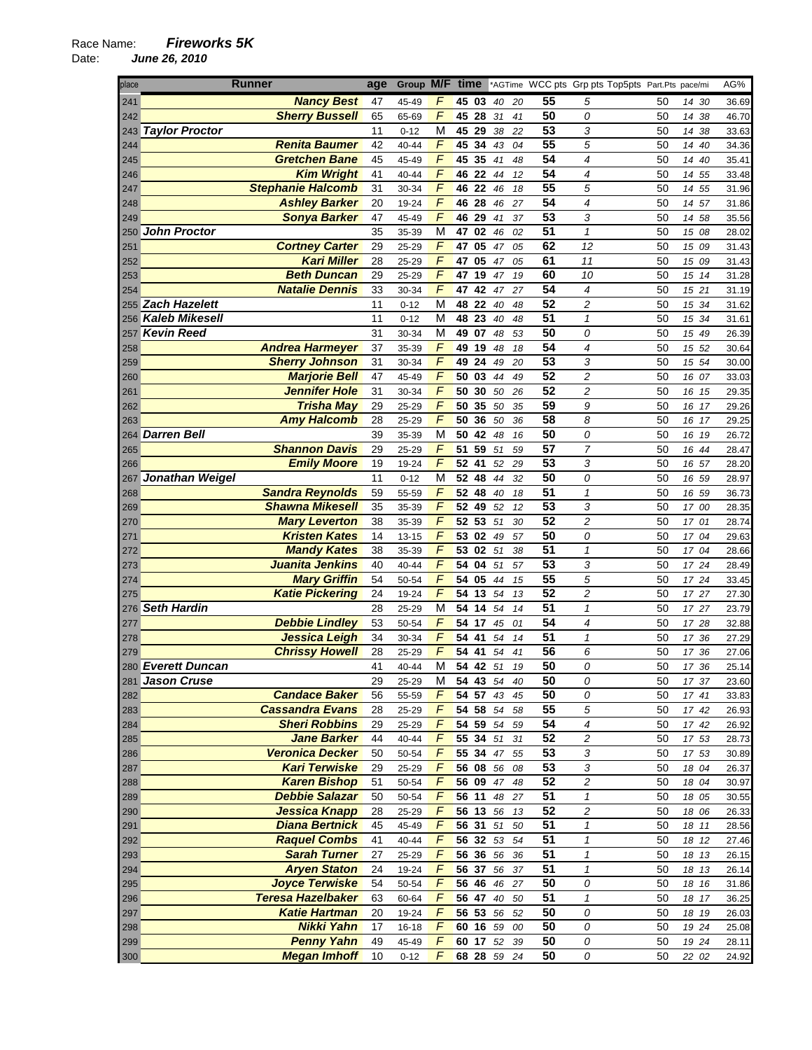| place | <b>Runner</b>            | age | Group M/F time          |          |    |    |    |                 |                            | *AGTime WCC pts Grp pts Top5pts Part.Pts pace/mi |    |       |    | AG%   |
|-------|--------------------------|-----|-------------------------|----------|----|----|----|-----------------|----------------------------|--------------------------------------------------|----|-------|----|-------|
| 241   | <b>Nancy Best</b>        | 47  | F<br>45-49              | 45 03    |    | 40 | 20 | 55              | 5                          |                                                  | 50 | 14 30 |    | 36.69 |
| 242   | <b>Sherry Bussell</b>    | 65  | $\sqrt{ }$<br>65-69     | 45 28    | 31 |    | 41 | 50              | 0                          |                                                  | 50 | 14 38 |    | 46.70 |
|       | 243 Taylor Proctor       | 11  | М<br>$0 - 12$           | 45 29    |    | 38 | 22 | 53              | 3                          |                                                  | 50 | 14    | 38 | 33.63 |
| 244   | <b>Renita Baumer</b>     | 42  | $\sqrt{ }$<br>40-44     | 45 34    |    | 43 | 04 | 55              | 5                          |                                                  | 50 | 14 40 |    | 34.36 |
| 245   | <b>Gretchen Bane</b>     | 45  | F<br>45-49              | 45 35    |    | 41 | 48 | 54              | 4                          |                                                  | 50 | 14    | 40 | 35.41 |
| 246   | <b>Kim Wright</b>        | 41  | F<br>40-44              | 46 22    |    | 44 | 12 | 54              | 4                          |                                                  | 50 | 14 55 |    | 33.48 |
| 247   | <b>Stephanie Halcomb</b> | 31  | $\overline{F}$<br>30-34 | 46 22    |    | 46 | 18 | $\overline{55}$ | 5                          |                                                  | 50 | 14 55 |    | 31.96 |
| 248   | <b>Ashley Barker</b>     | 20  | F<br>19-24              | 46<br>28 |    | 46 | 27 | 54              | 4                          |                                                  | 50 | 14 57 |    | 31.86 |
| 249   | <b>Sonya Barker</b>      | 47  | F<br>45-49              | 46 29    | 41 |    | 37 | 53              | 3                          |                                                  | 50 | 14 58 |    | 35.56 |
|       | 250 John Proctor         | 35  | M<br>35-39              | 02<br>47 |    | 46 | 02 | 51              | $\mathbf{1}$               |                                                  | 50 | 15 08 |    | 28.02 |
| 251   | <b>Cortney Carter</b>    | 29  | F<br>25-29              | 47<br>05 |    | 47 | 05 | 62              | 12                         |                                                  | 50 | 15 09 |    | 31.43 |
| 252   | <b>Kari Miller</b>       | 28  | F<br>25-29              | 47 05    |    | 47 | 05 | 61              | 11                         |                                                  | 50 | 15 09 |    | 31.43 |
| 253   | <b>Beth Duncan</b>       | 29  | F<br>25-29              | 47<br>19 |    | 47 | 19 | 60              | 10                         |                                                  | 50 | 15 14 |    | 31.28 |
| 254   | <b>Natalie Dennis</b>    | 33  | $\overline{F}$<br>30-34 | 47<br>42 |    | 47 | 27 | 54              | $\overline{4}$             |                                                  | 50 | 15 21 |    | 31.19 |
|       | 255 Zach Hazelett        | 11  | M<br>$0 - 12$           | 48 22    |    | 40 | 48 | 52              | $\overline{c}$             |                                                  | 50 | 15 34 |    | 31.62 |
|       | 256 Kaleb Mikesell       | 11  | M                       | 48 23    |    | 40 | 48 | 51              | $\mathbf{1}$               |                                                  | 50 | 15    | 34 |       |
|       | <b>Kevin Reed</b>        | 31  | $0 - 12$<br>М           | 49 07    |    |    |    | 50              | 0                          |                                                  | 50 |       |    | 31.61 |
| 257   |                          |     | 30-34<br>$\sqrt{2}$     | 49<br>19 |    | 48 | 53 | 54              | 4                          |                                                  |    | 15 49 |    | 26.39 |
| 258   | <b>Andrea Harmeyer</b>   | 37  | 35-39<br>F              |          | 48 |    | 18 | 53              |                            |                                                  | 50 | 15 52 |    | 30.64 |
| 259   | <b>Sherry Johnson</b>    | 31  | 30-34                   | 49<br>24 |    | 49 | 20 |                 | 3                          |                                                  | 50 | 15 54 |    | 30.00 |
| 260   | <b>Marjorie Bell</b>     | 47  | $\overline{F}$<br>45-49 | 50 03    |    | 44 | 49 | 52              | 2                          |                                                  | 50 | 16 07 |    | 33.03 |
| 261   | <b>Jennifer Hole</b>     | 31  | $\overline{F}$<br>30-34 | 50<br>30 | 50 |    | 26 | 52              | $\overline{c}$             |                                                  | 50 | 16 15 |    | 29.35 |
| 262   | <b>Trisha May</b>        | 29  | F<br>25-29              | 35<br>50 |    | 50 | 35 | 59              | 9                          |                                                  | 50 | 16    | 17 | 29.26 |
| 263   | <b>Amy Halcomb</b>       | 28  | F<br>25-29              | 50 36    | 50 |    | 36 | 58              | 8                          |                                                  | 50 | 16    | 17 | 29.25 |
|       | 264 Darren Bell          | 39  | М<br>35-39              | 50 42    | 48 |    | 16 | 50              | 0                          |                                                  | 50 | 16 19 |    | 26.72 |
| 265   | <b>Shannon Davis</b>     | 29  | $\sqrt{2}$<br>25-29     | 51<br>59 | 51 |    | 59 | $\overline{57}$ | $\overline{7}$             |                                                  | 50 | 16 44 |    | 28.47 |
| 266   | <b>Emily Moore</b>       | 19  | F<br>19-24              | 52 41    | 52 |    | 29 | 53              | 3                          |                                                  | 50 | 16 57 |    | 28.20 |
| 267   | Jonathan Weigel          | 11  | M<br>$0 - 12$           | 52 48    |    | 44 | 32 | 50              | 0                          |                                                  | 50 | 16 59 |    | 28.97 |
| 268   | <b>Sandra Reynolds</b>   | 59  | F<br>55-59              | 52 48    |    | 40 | 18 | 51              | $\mathbf{1}$               |                                                  | 50 | 16 59 |    | 36.73 |
| 269   | <b>Shawna Mikesell</b>   | 35  | F<br>35-39              | 52 49 52 |    |    | 12 | 53              | 3                          |                                                  | 50 | 17 00 |    | 28.35 |
| 270   | <b>Mary Leverton</b>     | 38  | F<br>35-39              | 52 53    | 51 |    | 30 | $\overline{52}$ | $\overline{c}$             |                                                  | 50 | 17 01 |    | 28.74 |
| 271   | <b>Kristen Kates</b>     | 14  | $\sqrt{2}$<br>$13 - 15$ | 53 02    | 49 |    | 57 | 50              | 0                          |                                                  | 50 | 17 04 |    | 29.63 |
| 272   | <b>Mandy Kates</b>       | 38  | $\overline{F}$<br>35-39 | 53 02 51 |    |    | 38 | 51              | $\boldsymbol{\mathcal{I}}$ |                                                  | 50 | 17 04 |    | 28.66 |
| 273   | <b>Juanita Jenkins</b>   | 40  | F<br>40-44              | 54 04    | 51 |    | 57 | 53              | 3                          |                                                  | 50 | 17 24 |    | 28.49 |
| 274   | <b>Mary Griffin</b>      | 54  | F<br>50-54              | 54 05    |    | 44 | 15 | 55              | 5                          |                                                  | 50 | 17 24 |    | 33.45 |
| 275   | <b>Katie Pickering</b>   | 24  | $\sqrt{2}$<br>19-24     | 54<br>13 | 54 |    | 13 | 52              | $\overline{c}$             |                                                  | 50 | 17 27 |    | 27.30 |
|       | 276 Seth Hardin          | 28  | M<br>25-29              | 54 14    |    | 54 | 14 | 51              | $\mathbf{1}$               |                                                  | 50 | 17 27 |    | 23.79 |
| 277   | <b>Debbie Lindley</b>    | 53  | $\sqrt{ }$<br>50-54     | 54 17 45 |    |    | 01 | 54              | 4                          |                                                  | 50 | 17 28 |    | 32.88 |
| 278   | <b>Jessica Leigh</b>     | 34  | $\sqrt{ }$<br>30-34     | 54 41    |    | 54 | 14 | 51              | 1                          |                                                  | 50 | 17 36 |    | 27.29 |
| 279   | <b>Chrissy Howell</b>    | 28  | F<br>25-29              | 54<br>41 |    | 54 | 41 | 56              | 6                          |                                                  | 50 | 17    | 36 | 27.06 |
|       | 280 Everett Duncan       | 41  | М<br>40-44              | 54 42 51 |    |    | 19 | 50              | 0                          |                                                  | 50 | 17 36 |    | 25.14 |
|       | 281 Jason Cruse          | 29  | 25-29<br>M              | 54 43 54 |    |    | 40 | 50              | 0                          |                                                  | 50 | 17 37 |    | 23.60 |
| 282   | <b>Candace Baker</b>     | 56  | F<br>55-59              | 54 57 43 |    |    | 45 | 50              | 0                          |                                                  | 50 | 17 41 |    | 33.83 |
| 283   | <b>Cassandra Evans</b>   | 28  | F<br>25-29              | 54 58 54 |    |    | 58 | 55              | 5                          |                                                  | 50 | 17 42 |    | 26.93 |
| 284   | <b>Sheri Robbins</b>     | 29  | F<br>25-29              | 54 59    |    | 54 | 59 | 54              | 4                          |                                                  | 50 | 17 42 |    | 26.92 |
| 285   | <b>Jane Barker</b>       | 44  | 40-44<br>F              | 55 34 51 |    |    | 31 | 52              | 2                          |                                                  | 50 | 17 53 |    | 28.73 |
| 286   | <b>Veronica Decker</b>   | 50  | F<br>50-54              | 55 34 47 |    |    | 55 | 53              | 3                          |                                                  | 50 | 17 53 |    | 30.89 |
| 287   | <b>Kari Terwiske</b>     | 29  | F<br>25-29              | 56 08 56 |    |    | 08 | 53              | 3                          |                                                  | 50 | 18 04 |    | 26.37 |
| 288   | <b>Karen Bishop</b>      | 51  | F<br>50-54              | 56 09 47 |    |    | 48 | 52              | $\overline{\mathbf{c}}$    |                                                  | 50 | 18 04 |    | 30.97 |
| 289   | <b>Debbie Salazar</b>    | 50  | F<br>50-54              | 56 11    |    | 48 | 27 | 51              | $\mathbf{1}$               |                                                  | 50 | 18 05 |    | 30.55 |
| 290   | <b>Jessica Knapp</b>     | 28  | $\sqrt{2}$<br>25-29     | 56 13 56 |    |    | 13 | 52              | 2                          |                                                  | 50 | 18 06 |    | 26.33 |
| 291   | <b>Diana Bertnick</b>    | 45  | F                       | 56 31 51 |    |    | 50 | 51              | $\mathbf{1}$               |                                                  | 50 |       |    |       |
|       |                          |     | 45-49                   |          |    |    |    | $\overline{51}$ |                            |                                                  |    | 18 11 |    | 28.56 |
| 292   | <b>Raquel Combs</b>      | 41  | F<br>40-44              | 56 32 53 |    |    | 54 |                 | $\pmb{\mathcal{1}}$        |                                                  | 50 | 18 12 |    | 27.46 |
| 293   | <b>Sarah Turner</b>      | 27  | $\sqrt{2}$<br>25-29     | 56 36    | 56 |    | 36 | $\overline{51}$ | $\mathbf{1}$               |                                                  | 50 | 18 13 |    | 26.15 |
| 294   | <b>Aryen Staton</b>      | 24  | F<br>19-24              | 56 37 56 |    |    | 37 | 51              | $\mathbf{1}$               |                                                  | 50 | 18 13 |    | 26.14 |
| 295   | <b>Joyce Terwiske</b>    | 54  | F<br>50-54              | 56 46    |    | 46 | 27 | 50              | 0                          |                                                  | 50 | 18    | 16 | 31.86 |
| 296   | Teresa Hazelbaker        | 63  | F<br>60-64              | 56 47 40 |    |    | 50 | 51              | $\pmb{\mathcal{1}}$        |                                                  | 50 | 18 17 |    | 36.25 |
| 297   | <b>Katie Hartman</b>     | 20  | F<br>19-24              | 56 53 56 |    |    | 52 | 50              | 0                          |                                                  | 50 | 18 19 |    | 26.03 |
| 298   | <b>Nikki Yahn</b>        | 17  | F<br>$16 - 18$          | 60 16 59 |    |    | 00 | 50              | 0                          |                                                  | 50 | 19 24 |    | 25.08 |
| 299   | <b>Penny Yahn</b>        | 49  | F<br>45-49              | 60 17 52 |    |    | 39 | 50              | 0                          |                                                  | 50 | 19 24 |    | 28.11 |
| 300   | <b>Megan Imhoff</b>      | 10  | F<br>$0 - 12$           | 68 28 59 |    |    | 24 | 50              | 0                          |                                                  | 50 | 22 02 |    | 24.92 |